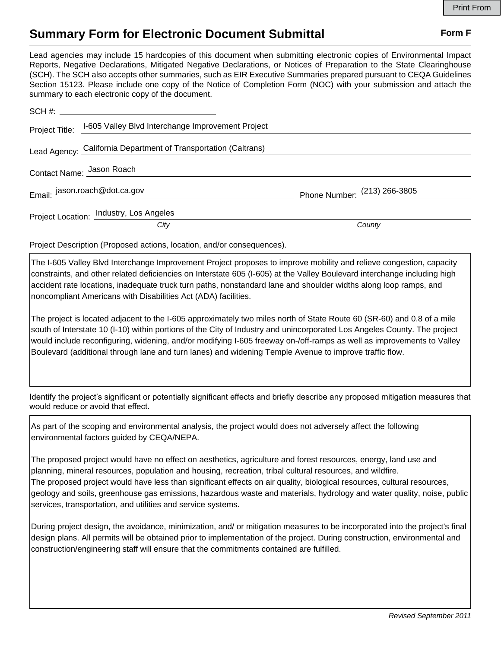## **Summary Form for Electronic Document Submittal Form F Form F**

Lead agencies may include 15 hardcopies of this document when submitting electronic copies of Environmental Impact Reports, Negative Declarations, Mitigated Negative Declarations, or Notices of Preparation to the State Clearinghouse (SCH). The SCH also accepts other summaries, such as EIR Executive Summaries prepared pursuant to CEQA Guidelines Section 15123. Please include one copy of the Notice of Completion Form (NOC) with your submission and attach the summary to each electronic copy of the document.

|                           | Project Title: I-605 Valley Blvd Interchange Improvement Project |                                |
|---------------------------|------------------------------------------------------------------|--------------------------------|
|                           | Lead Agency: California Department of Transportation (Caltrans)  |                                |
| Contact Name: Jason Roach |                                                                  |                                |
|                           | Email: jason.roach@dot.ca.gov                                    | Phone Number: $(213)$ 266-3805 |
|                           | Project Location: Industry, Los Angeles                          |                                |
|                           | City                                                             | County                         |

Project Description (Proposed actions, location, and/or consequences).

The I-605 Valley Blvd Interchange Improvement Project proposes to improve mobility and relieve congestion, capacity constraints, and other related deficiencies on Interstate 605 (I-605) at the Valley Boulevard interchange including high accident rate locations, inadequate truck turn paths, nonstandard lane and shoulder widths along loop ramps, and noncompliant Americans with Disabilities Act (ADA) facilities.

The project is located adjacent to the I-605 approximately two miles north of State Route 60 (SR-60) and 0.8 of a mile south of Interstate 10 (I-10) within portions of the City of Industry and unincorporated Los Angeles County. The project would include reconfiguring, widening, and/or modifying I-605 freeway on-/off-ramps as well as improvements to Valley Boulevard (additional through lane and turn lanes) and widening Temple Avenue to improve traffic flow.

Identify the project's significant or potentially significant effects and briefly describe any proposed mitigation measures that would reduce or avoid that effect.

As part of the scoping and environmental analysis, the project would does not adversely affect the following environmental factors guided by CEQA/NEPA.

The proposed project would have no effect on aesthetics, agriculture and forest resources, energy, land use and planning, mineral resources, population and housing, recreation, tribal cultural resources, and wildfire. The proposed project would have less than significant effects on air quality, biological resources, cultural resources, geology and soils, greenhouse gas emissions, hazardous waste and materials, hydrology and water quality, noise, public services, transportation, and utilities and service systems.

During project design, the avoidance, minimization, and/ or mitigation measures to be incorporated into the project's final design plans. All permits will be obtained prior to implementation of the project. During construction, environmental and construction/engineering staff will ensure that the commitments contained are fulfilled.